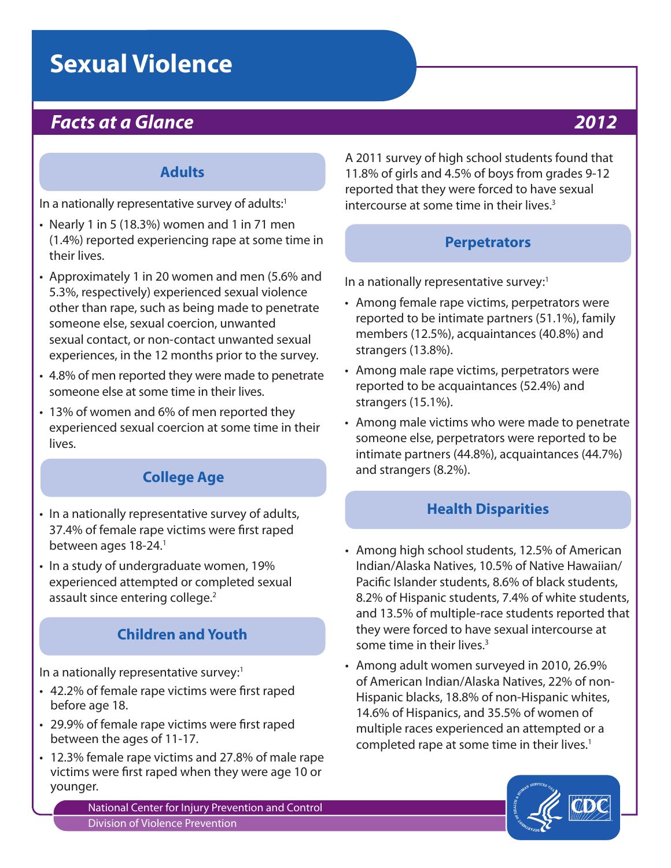# **Sexual Violence**

# *Facts at a Glance 2012*

#### **Adults**

In a nationally representative survey of adults:<sup>1</sup>

- $\cdot$  Nearly 1 in 5 (18.3%) women and 1 in 71 men (1.4%) reported experiencing rape at some time in their lives.
- Approximately 1 in 20 women and men (5.6% and 5.3%, respectively) experienced sexual violence other than rape, such as being made to penetrate someone else, sexual coercion, unwanted sexual contact, or non-contact unwanted sexual experiences, in the 12 months prior to the survey.
- 4.8% of men reported they were made to penetrate someone else at some time in their lives.
- 13% of women and 6% of men reported they experienced sexual coercion at some time in their lives.

### **College Age**

- In a nationally representative survey of adults, 37.4% of female rape victims were first raped between ages 18-24.<sup>1</sup>
- In a study of undergraduate women, 19% experienced attempted or completed sexual assault since entering college.<sup>2</sup>

#### **Children and Youth**

In a nationally representative survey:<sup>1</sup>

- 42.2% of female rape victims were first raped before age 18.
- 29.9% of female rape victims were first raped between the ages of 11-17.
- 12.3% female rape victims and 27.8% of male rape victims were first raped when they were age 10 or younger.

National Center for Injury Prevention and Control Division of Violence Prevention

A 2011 survey of high school students found that 11.8% of girls and 4.5% of boys from grades 9-12 reported that they were forced to have sexual intercourse at some time in their lives.<sup>3</sup>

#### **Perpetrators**

In a nationally representative survey:<sup>1</sup>

- Among female rape victims, perpetrators were reported to be intimate partners (51.1%), family members (12.5%), acquaintances (40.8%) and strangers (13.8%).
- Among male rape victims, perpetrators were reported to be acquaintances (52.4%) and strangers (15.1%).
- Among male victims who were made to penetrate someone else, perpetrators were reported to be intimate partners (44.8%), acquaintances (44.7%) and strangers (8.2%).

#### **Health Disparities**

- Among high school students, 12.5% of American Indian/Alaska Natives, 10.5% of Native Hawaiian/ Pacific Islander students, 8.6% of black students, 8.2% of Hispanic students, 7.4% of white students, and 13.5% of multiple-race students reported that they were forced to have sexual intercourse at some time in their lives.<sup>3</sup>
- Among adult women surveyed in 2010, 26.9% of American Indian/Alaska Natives, 22% of non-Hispanic blacks, 18.8% of non-Hispanic whites, 14.6% of Hispanics, and 35.5% of women of multiple races experienced an attempted or a completed rape at some time in their lives.<sup>1</sup>